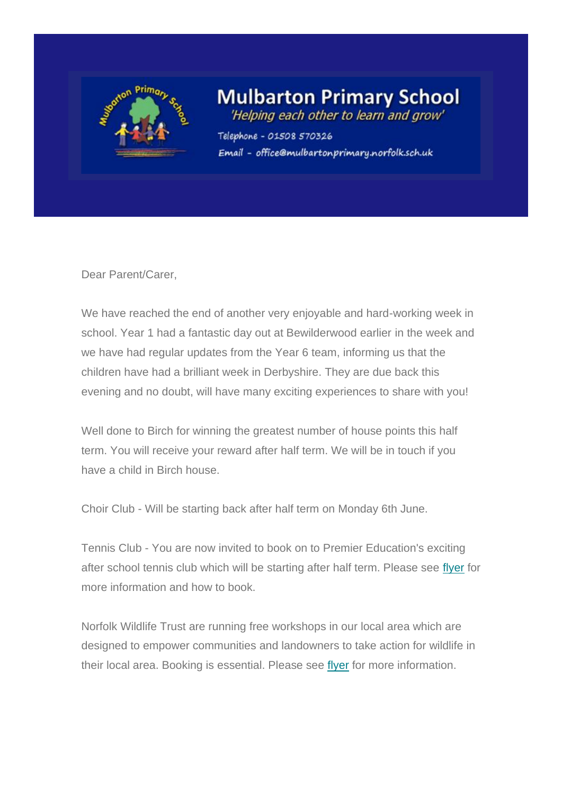

## **Mulbarton Primary School**

'Helping each other to learn and grow'

Telephone - 01508 570326 Email - office@mulbartonprimary.norfolk.sch.uk

Dear Parent/Carer,

We have reached the end of another very enjoyable and hard-working week in school. Year 1 had a fantastic day out at Bewilderwood earlier in the week and we have had regular updates from the Year 6 team, informing us that the children have had a brilliant week in Derbyshire. They are due back this evening and no doubt, will have many exciting experiences to share with you!

Well done to Birch for winning the greatest number of house points this half term. You will receive your reward after half term. We will be in touch if you have a child in Birch house.

Choir Club - Will be starting back after half term on Monday 6th June.

Tennis Club - You are now invited to book on to Premier Education's exciting after school tennis club which will be starting after half term. Please see [flyer](https://sch.us16.list-manage.com/track/click?u=a0b104861e67868560deacec5&id=a4ea460059&e=a47d36918a) for more information and how to book.

Norfolk Wildlife Trust are running free workshops in our local area which are designed to empower communities and landowners to take action for wildlife in their local area. Booking is essential. Please see [flyer](https://sch.us16.list-manage.com/track/click?u=a0b104861e67868560deacec5&id=3c20596129&e=a47d36918a) for more information.